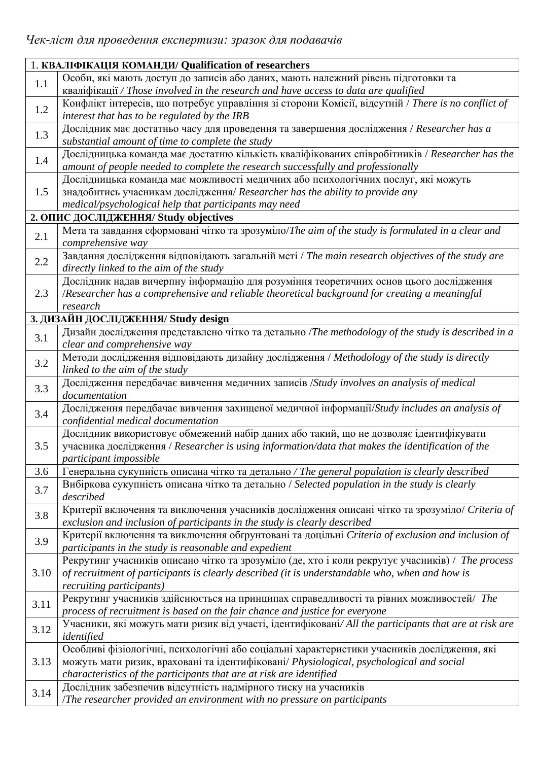| 1. КВАЛІФІКАЦІЯ КОМАНДИ/ Qualification of researchers |                                                                                                          |  |
|-------------------------------------------------------|----------------------------------------------------------------------------------------------------------|--|
|                                                       | Особи, які мають доступ до записів або даних, мають належний рівень підготовки та                        |  |
| 1.1                                                   | kBanidikauii / Those involved in the research and have access to data are qualified                      |  |
| 1.2                                                   | Конфлікт інтересів, що потребує управління зі сторони Комісії, відсутній / There is no conflict of       |  |
|                                                       | interest that has to be regulated by the IRB                                                             |  |
| 1.3                                                   | Дослідник має достатньо часу для проведення та завершення дослідження / Researcher has a                 |  |
|                                                       | substantial amount of time to complete the study                                                         |  |
| 1.4                                                   | Дослідницька команда має достатню кількість кваліфікованих співробітників / Researcher has the           |  |
|                                                       | amount of people needed to complete the research successfully and professionally                         |  |
|                                                       | Дослідницька команда має можливості медичних або психологічних послуг, які можуть                        |  |
| 1.5                                                   | знадобитись учасникам дослідження/ Researcher has the ability to provide any                             |  |
|                                                       | medical/psychological help that participants may need                                                    |  |
|                                                       | 2. ОПИС ДОСЛІДЖЕННЯ/ Study objectives                                                                    |  |
| 2.1                                                   | Мета та завдання сформовані чітко та зрозуміло/The aim of the study is formulated in a clear and         |  |
|                                                       | comprehensive way                                                                                        |  |
| 2.2                                                   | Завдання дослідження відповідають загальній меті / The main research objectives of the study are         |  |
|                                                       | directly linked to the aim of the study                                                                  |  |
|                                                       | Дослідник надав вичерпну інформацію для розуміння теоретичних основ цього дослідження                    |  |
| 2.3                                                   | /Researcher has a comprehensive and reliable theoretical background for creating a meaningful            |  |
|                                                       | research                                                                                                 |  |
|                                                       | 3. ДИЗАЙН ДОСЛІДЖЕННЯ/ Study design                                                                      |  |
| 3.1                                                   | Дизайн дослідження представлено чітко та детально /The methodology of the study is described in a        |  |
|                                                       | clear and comprehensive way                                                                              |  |
| 3.2                                                   | Методи дослідження відповідають дизайну дослідження / Methodology of the study is directly               |  |
|                                                       | linked to the aim of the study                                                                           |  |
| 3.3                                                   | Дослідження передбачає вивчення медичних записів /Study involves an analysis of medical<br>documentation |  |
|                                                       | Дослідження передбачає вивчення захищеної медичної інформації/Study includes an analysis of              |  |
| 3.4                                                   | confidential medical documentation                                                                       |  |
|                                                       | Дослідник використовує обмежений набір даних або такий, що не дозволяє ідентифікувати                    |  |
| 3.5                                                   | учасника дослідження / Researcher is using information/data that makes the identification of the         |  |
|                                                       | participant impossible                                                                                   |  |
| 3.6                                                   | Генеральна сукупність описана чітко та детально / The general population is clearly described            |  |
|                                                       | Вибіркова сукупність описана чітко та детально / Selected population in the study is clearly             |  |
| 3.7                                                   | described                                                                                                |  |
| 3.8                                                   | Критерії включення та виключення учасників дослідження описані чітко та зрозуміло/ Criteria of           |  |
|                                                       | exclusion and inclusion of participants in the study is clearly described                                |  |
| 3.9                                                   | Критерії включення та виключення обґрунтовані та доцільні Criteria of exclusion and inclusion of         |  |
|                                                       | participants in the study is reasonable and expedient                                                    |  |
|                                                       | Рекрутинг учасників описано чітко та зрозуміло (де, хто і коли рекрутує учасників) / The process         |  |
| 3.10                                                  | of recruitment of participants is clearly described (it is understandable who, when and how is           |  |
|                                                       | <i>recruiting participants)</i>                                                                          |  |
| 3.11                                                  | Рекрутинг учасників здійснюється на принципах справедливості та рівних можливостей/ The                  |  |
|                                                       | process of recruitment is based on the fair chance and justice for everyone                              |  |
| 3.12                                                  | Учасники, які можуть мати ризик від участі, ідентифіковані/All the participants that are at risk are     |  |
|                                                       | identified                                                                                               |  |
| 3.13                                                  | Особливі фізіологічні, психологічні або соціальні характеристики учасників дослідження, які              |  |
|                                                       | можуть мати ризик, враховані та ідентифіковані/ Physiological, psychological and social                  |  |
|                                                       | characteristics of the participants that are at risk are identified                                      |  |
| 3.14                                                  | Дослідник забезпечив відсутність надмірного тиску на учасників                                           |  |
|                                                       | The researcher provided an environment with no pressure on participants                                  |  |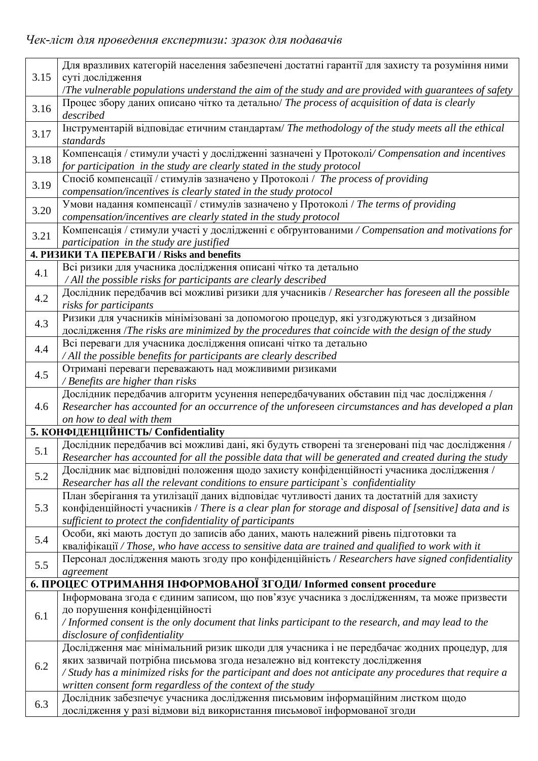|              | Для вразливих категорій населення забезпечені достатні гарантії для захисту та розуміння ними                                                                                             |
|--------------|-------------------------------------------------------------------------------------------------------------------------------------------------------------------------------------------|
| 3.15         | суті дослідження                                                                                                                                                                          |
|              | The vulnerable populations understand the aim of the study and are provided with guarantees of safety                                                                                     |
| 3.16<br>3.17 | Процес збору даних описано чітко та детально/ The process of acquisition of data is clearly                                                                                               |
|              | described                                                                                                                                                                                 |
|              | Інструментарій відповідає етичним стандартам/ The methodology of the study meets all the ethical                                                                                          |
|              | standards                                                                                                                                                                                 |
| 3.18<br>3.19 | Компенсація / стимули участі у дослідженні зазначені у Протоколі/ Compensation and incentives                                                                                             |
|              | for participation in the study are clearly stated in the study protocol                                                                                                                   |
|              | Спосіб компенсації / стимулів зазначено у Протоколі / The process of providing                                                                                                            |
|              | compensation/incentives is clearly stated in the study protocol                                                                                                                           |
| 3.20         | Умови надання компенсації / стимулів зазначено у Протоколі / The terms of providing                                                                                                       |
|              | compensation/incentives are clearly stated in the study protocol                                                                                                                          |
| 3.21         | Компенсація / стимули участі у дослідженні є обґрунтованими / Compensation and motivations for                                                                                            |
|              | participation in the study are justified                                                                                                                                                  |
|              | 4. PH3HKH TA HEPEBATH / Risks and benefits                                                                                                                                                |
| 4.1          | Всі ризики для учасника дослідження описані чітко та детально                                                                                                                             |
|              | / All the possible risks for participants are clearly described                                                                                                                           |
| 4.2          | Дослідник передбачив всі можливі ризики для учасників / Researcher has foreseen all the possible                                                                                          |
|              | risks for participants                                                                                                                                                                    |
| 4.3          | Ризики для учасників мінімізовані за допомогою процедур, які узгоджуються з дизайном<br>дослідження /The risks are minimized by the procedures that coincide with the design of the study |
|              | Всі переваги для учасника дослідження описані чітко та детально                                                                                                                           |
| 4.4          | / All the possible benefits for participants are clearly described                                                                                                                        |
|              | Отримані переваги переважають над можливими ризиками                                                                                                                                      |
| 4.5          | / Benefits are higher than risks                                                                                                                                                          |
|              | Дослідник передбачив алгоритм усунення непередбачуваних обставин під час дослідження /                                                                                                    |
| 4.6          | Researcher has accounted for an occurrence of the unforeseen circumstances and has developed a plan                                                                                       |
|              | on how to deal with them                                                                                                                                                                  |
|              | 5. КОНФІДЕНЦІЙНІСТЬ/ Confidentiality                                                                                                                                                      |
| 5.1          | Дослідник передбачив всі можливі дані, які будуть створені та згенеровані під час дослідження /                                                                                           |
|              | Researcher has accounted for all the possible data that will be generated and created during the study                                                                                    |
| 5.2          | Дослідник має відповідні положення щодо захисту конфіденційності учасника дослідження /                                                                                                   |
|              | Researcher has all the relevant conditions to ensure participant's confidentiality                                                                                                        |
|              | План зберігання та утилізації даних відповідає чутливості даних та достатній для захисту                                                                                                  |
| 5.3          | конфіденційності учасників / There is a clear plan for storage and disposal of [sensitive] data and is                                                                                    |
|              | sufficient to protect the confidentiality of participants                                                                                                                                 |
| 5.4          | Особи, які мають доступ до записів або даних, мають належний рівень підготовки та                                                                                                         |
|              | κΒαπιφίκαιμα / Those, who have access to sensitive data are trained and qualified to work with it                                                                                         |
| 5.5          | Персонал дослідження мають згоду про конфіденційність / Researchers have signed confidentiality                                                                                           |
|              | agreement                                                                                                                                                                                 |
|              | 6. ПРОЦЕС ОТРИМАННЯ ІНФОРМОВАНОЇ ЗГОДИ/ Informed consent procedure                                                                                                                        |
|              | Інформована згода є єдиним записом, що пов'язує учасника з дослідженням, та може призвести                                                                                                |
| 6.1          | до порушення конфіденційності                                                                                                                                                             |
|              | / Informed consent is the only document that links participant to the research, and may lead to the                                                                                       |
|              | disclosure of confidentiality<br>Дослідження має мінімальний ризик шкоди для учасника і не передбачає жодних процедур, для                                                                |
| 6.2          | яких зазвичай потрібна письмова згода незалежно від контексту дослідження                                                                                                                 |
|              | / Study has a minimized risks for the participant and does not anticipate any procedures that require a                                                                                   |
|              | written consent form regardless of the context of the study                                                                                                                               |
|              | Дослідник забезпечує учасника дослідження письмовим інформаційним листком щодо                                                                                                            |
| 6.3          | дослідження у разі відмови від використання письмової інформованої згоди                                                                                                                  |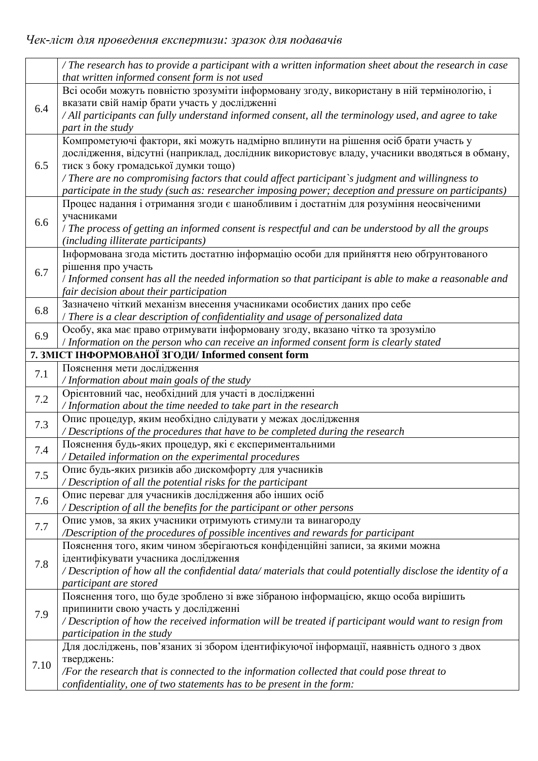|         | / The research has to provide a participant with a written information sheet about the research in case<br>that written informed consent form is not used                                                                                                                                                                                                                                                                             |
|---------|---------------------------------------------------------------------------------------------------------------------------------------------------------------------------------------------------------------------------------------------------------------------------------------------------------------------------------------------------------------------------------------------------------------------------------------|
| 6.4     | Всі особи можуть повністю зрозуміти інформовану згоду, використану в ній термінологію, і<br>вказати свій намір брати участь у дослідженні<br>/ All participants can fully understand informed consent, all the terminology used, and agree to take<br>part in the study                                                                                                                                                               |
| 6.5     | Компрометуючі фактори, які можуть надмірно вплинути на рішення осіб брати участь у<br>дослідження, відсутні (наприклад, дослідник використовує владу, учасники вводяться в обману,<br>тиск з боку громадської думки тощо)<br>/ There are no compromising factors that could affect participant's judgment and willingness to<br>participate in the study (such as: researcher imposing power; deception and pressure on participants) |
| 6.6     | Процес надання і отримання згоди є шанобливим і достатнім для розуміння неосвіченими<br>учасниками<br>/ The process of getting an informed consent is respectful and can be understood by all the groups<br>(including illiterate participants)                                                                                                                                                                                       |
| 6.7     | Інформована згода містить достатню інформацію особи для прийняття нею обґрунтованого<br>рішення про участь<br>/ Informed consent has all the needed information so that participant is able to make a reasonable and<br>fair decision about their participation                                                                                                                                                                       |
| 6.8     | Зазначено чіткий механізм внесення учасниками особистих даних про себе<br>/ There is a clear description of confidentiality and usage of personalized data                                                                                                                                                                                                                                                                            |
| 6.9     | Особу, яка має право отримувати інформовану згоду, вказано чітко та зрозуміло<br>/ Information on the person who can receive an informed consent form is clearly stated                                                                                                                                                                                                                                                               |
|         | 7. ЗМІСТ ІНФОРМОВАНОЇ ЗГОДИ/ Informed consent form                                                                                                                                                                                                                                                                                                                                                                                    |
| 7.1     | Пояснення мети дослідження<br>/ Information about main goals of the study                                                                                                                                                                                                                                                                                                                                                             |
| $7.2\,$ | Орієнтовний час, необхідний для участі в дослідженні<br>/ Information about the time needed to take part in the research                                                                                                                                                                                                                                                                                                              |
| 7.3     | Опис процедур, яким необхідно слідувати у межах дослідження<br>/ Descriptions of the procedures that have to be completed during the research                                                                                                                                                                                                                                                                                         |
| 7.4     | Пояснення будь-яких процедур, які є експериментальними<br>/ Detailed information on the experimental procedures                                                                                                                                                                                                                                                                                                                       |
| 7.5     | Опис будь-яких ризиків або дискомфорту для учасників<br>/ Description of all the potential risks for the participant                                                                                                                                                                                                                                                                                                                  |
| 7.6     | Опис переваг для учасників дослідження або інших осіб<br>/ Description of all the benefits for the participant or other persons                                                                                                                                                                                                                                                                                                       |
| 7.7     | Опис умов, за яких учасники отримують стимули та винагороду<br>/Description of the procedures of possible incentives and rewards for participant                                                                                                                                                                                                                                                                                      |
| 7.8     | Пояснення того, яким чином зберігаються конфіденційні записи, за якими можна<br>ідентифікувати учасника дослідження<br>/ Description of how all the confidential data/ materials that could potentially disclose the identity of a<br>participant are stored                                                                                                                                                                          |
| 7.9     | Пояснення того, що буде зроблено зі вже зібраною інформацією, якщо особа вирішить<br>припинити свою участь у дослідженні<br>/ Description of how the received information will be treated if participant would want to resign from<br>participation in the study                                                                                                                                                                      |
| 7.10    | Для досліджень, пов'язаних зі збором ідентифікуючої інформації, наявність одного з двох<br>тверджень:<br>/For the research that is connected to the information collected that could pose threat to<br>confidentiality, one of two statements has to be present in the form:                                                                                                                                                          |